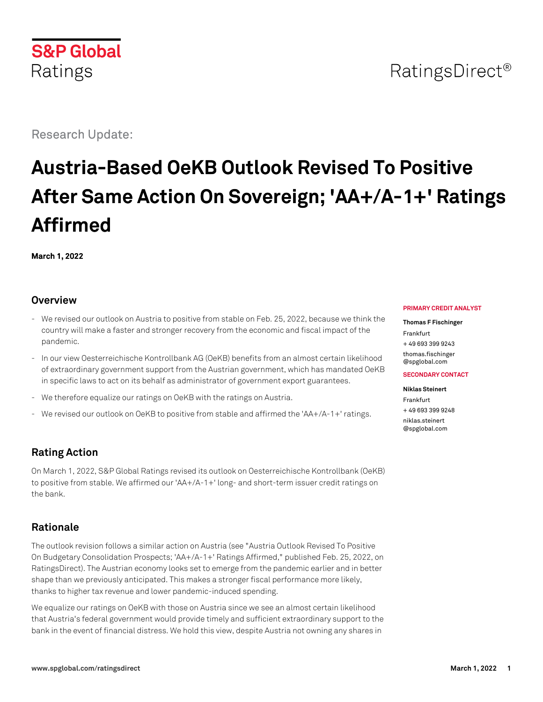

# RatingsDirect<sup>®</sup>

Research Update:

# **Austria-Based OeKB Outlook Revised To Positive After Same Action On Sovereign; 'AA+/A-1+' Ratings Affirmed**

**March 1, 2022**

#### **Overview**

- We revised our outlook on Austria to positive from stable on Feb. 25, 2022, because we think the country will make a faster and stronger recovery from the economic and fiscal impact of the pandemic.
- In our view Oesterreichische Kontrollbank AG (OeKB) benefits from an almost certain likelihood of extraordinary government support from the Austrian government, which has mandated OeKB in specific laws to act on its behalf as administrator of government export guarantees.
- We therefore equalize our ratings on OeKB with the ratings on Austria.
- We revised our outlook on OeKB to positive from stable and affirmed the 'AA+/A-1+' ratings.

## **Rating Action**

On March 1, 2022, S&P Global Ratings revised its outlook on Oesterreichische Kontrollbank (OeKB) to positive from stable. We affirmed our 'AA+/A-1+' long- and short-term issuer credit ratings on the bank.

## **Rationale**

The outlook revision follows a similar action on Austria (see "Austria Outlook Revised To Positive On Budgetary Consolidation Prospects; 'AA+/A-1+' Ratings Affirmed," published Feb. 25, 2022, on RatingsDirect). The Austrian economy looks set to emerge from the pandemic earlier and in better shape than we previously anticipated. This makes a stronger fiscal performance more likely, thanks to higher tax revenue and lower pandemic-induced spending.

We equalize our ratings on OeKB with those on Austria since we see an almost certain likelihood that Austria's federal government would provide timely and sufficient extraordinary support to the bank in the event of financial distress. We hold this view, despite Austria not owning any shares in

#### **PRIMARY CREDIT ANALYST**

**Thomas F Fischinger** Frankfurt + 49 693 399 9243 [thomas.fischinger](mailto:thomas.fischinger@spglobal.com) [@spglobal.com](mailto:thomas.fischinger@spglobal.com)

**SECONDARY CONTACT**

**Niklas Steinert** Frankfurt + 49 693 399 9248 [niklas.steinert](mailto:niklas.steinert@spglobal.com) [@spglobal.com](mailto:niklas.steinert@spglobal.com)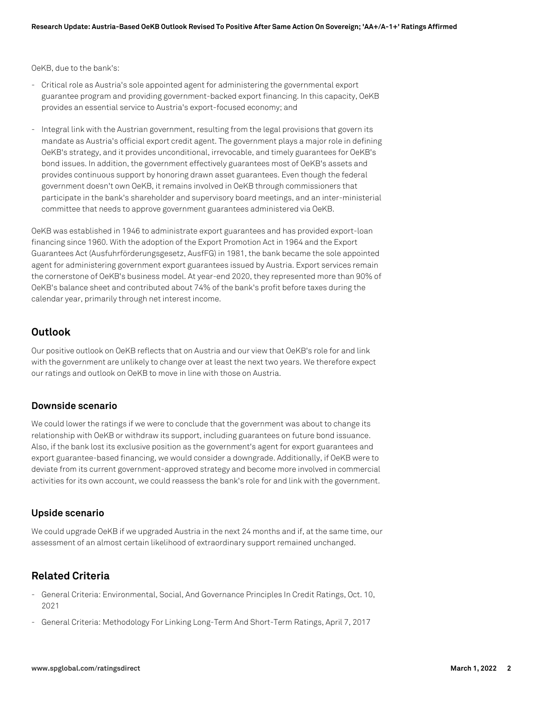OeKB, due to the bank's:

- Critical role as Austria's sole appointed agent for administering the governmental export guarantee program and providing government-backed export financing. In this capacity, OeKB provides an essential service to Austria's export-focused economy; and
- Integral link with the Austrian government, resulting from the legal provisions that govern its mandate as Austria's official export credit agent. The government plays a major role in defining OeKB's strategy, and it provides unconditional, irrevocable, and timely guarantees for OeKB's bond issues. In addition, the government effectively guarantees most of OeKB's assets and provides continuous support by honoring drawn asset guarantees. Even though the federal government doesn't own OeKB, it remains involved in OeKB through commissioners that participate in the bank's shareholder and supervisory board meetings, and an inter-ministerial committee that needs to approve government guarantees administered via OeKB.

OeKB was established in 1946 to administrate export guarantees and has provided export-loan financing since 1960. With the adoption of the Export Promotion Act in 1964 and the Export Guarantees Act (Ausfuhrförderungsgesetz, AusfFG) in 1981, the bank became the sole appointed agent for administering government export guarantees issued by Austria. Export services remain the cornerstone of OeKB's business model. At year-end 2020, they represented more than 90% of OeKB's balance sheet and contributed about 74% of the bank's profit before taxes during the calendar year, primarily through net interest income.

#### **Outlook**

Our positive outlook on OeKB reflects that on Austria and our view that OeKB's role for and link with the government are unlikely to change over at least the next two years. We therefore expect our ratings and outlook on OeKB to move in line with those on Austria.

#### **Downside scenario**

We could lower the ratings if we were to conclude that the government was about to change its relationship with OeKB or withdraw its support, including guarantees on future bond issuance. Also, if the bank lost its exclusive position as the government's agent for export guarantees and export guarantee-based financing, we would consider a downgrade. Additionally, if OeKB were to deviate from its current government-approved strategy and become more involved in commercial activities for its own account, we could reassess the bank's role for and link with the government.

#### **Upside scenario**

We could upgrade OeKB if we upgraded Austria in the next 24 months and if, at the same time, our assessment of an almost certain likelihood of extraordinary support remained unchanged.

#### **Related Criteria**

- General Criteria: Environmental, Social, And Governance Principles In Credit Ratings, Oct. 10, 2021
- General Criteria: Methodology For Linking Long-Term And Short-Term Ratings, April 7, 2017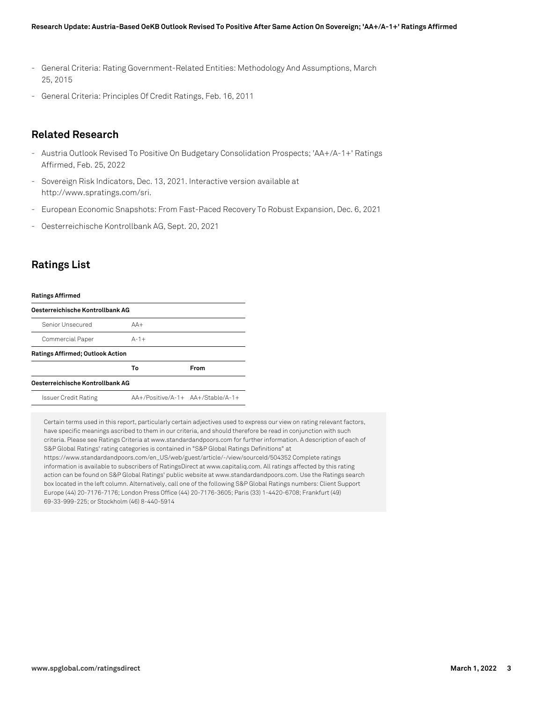- General Criteria: Rating Government-Related Entities: Methodology And Assumptions, March 25, 2015
- General Criteria: Principles Of Credit Ratings, Feb. 16, 2011

#### **Related Research**

- Austria Outlook Revised To Positive On Budgetary Consolidation Prospects; 'AA+/A-1+' Ratings Affirmed, Feb. 25, 2022
- Sovereign Risk Indicators, Dec. 13, 2021. Interactive version available at http://www.spratings.com/sri.
- European Economic Snapshots: From Fast-Paced Recovery To Robust Expansion, Dec. 6, 2021
- Oesterreichische Kontrollbank AG, Sept. 20, 2021

#### **Ratings List**

| <b>Ratings Affirmed</b>                 |                                     |      |
|-----------------------------------------|-------------------------------------|------|
| Oesterreichische Kontrollbank AG        |                                     |      |
| Senior Unsecured                        | $AA+$                               |      |
| Commercial Paper                        | $A-1+$                              |      |
| <b>Ratings Affirmed; Outlook Action</b> |                                     |      |
|                                         | To                                  | From |
| Oesterreichische Kontrollbank AG        |                                     |      |
| Issuer Credit Rating                    | $AA+/Positive/A-1+ AA+/Stable/A-1+$ |      |

Certain terms used in this report, particularly certain adjectives used to express our view on rating relevant factors, have specific meanings ascribed to them in our criteria, and should therefore be read in conjunction with such criteria. Please see Ratings Criteria at www.standardandpoors.com for further information. A description of each of S&P Global Ratings' rating categories is contained in "S&P Global Ratings Definitions" at https://www.standardandpoors.com/en\_US/web/guest/article/-/view/sourceId/504352 Complete ratings information is available to subscribers of RatingsDirect at www.capitaliq.com. All ratings affected by this rating

action can be found on S&P Global Ratings' public website at www.standardandpoors.com. Use the Ratings search box located in the left column. Alternatively, call one of the following S&P Global Ratings numbers: Client Support Europe (44) 20-7176-7176; London Press Office (44) 20-7176-3605; Paris (33) 1-4420-6708; Frankfurt (49) 69-33-999-225; or Stockholm (46) 8-440-5914